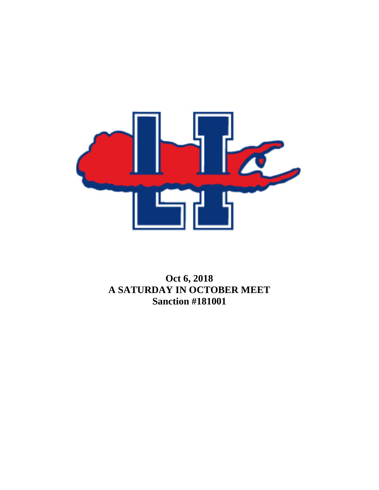

## **Oct 6, 2018 A SATURDAY IN OCTOBER MEET Sanction #181001**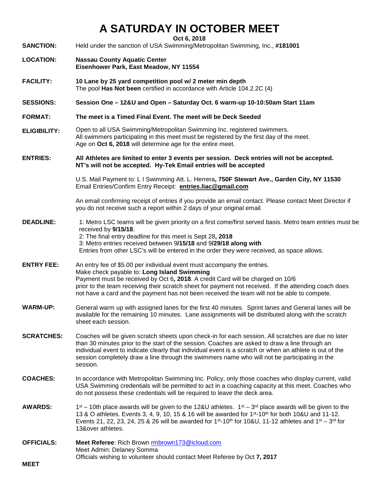## **A SATURDAY IN OCTOBER MEET**

**Oct 6, 2018**

**SANCTION:** Held under the sanction of USA Swimming/Metropolitan Swimming, Inc., **#181001**

- **LOCATION: Nassau County Aquatic Center Eisenhower Park, East Meadow, NY 11554**
- **FACILITY: 10 Lane by 25 yard competition pool w/ 2 meter min depth**  The pool **Has Not been** certified in accordance with Article 104.2.2C (4)
- **SESSIONS: Session One – 12&U and Open – Saturday Oct. 6 warm-up 10-10:50am Start 11am**
- **FORMAT: The meet is a Timed Final Event. The meet will be Deck Seeded**
- **ELIGIBILITY:** Open to all USA Swimming/Metropolitan Swimming Inc. registered swimmers. All swimmers participating in this meet must be registered by the first day of the meet. Age on **Oct 6, 2018** will determine age for the entire meet.
- **ENTRIES: All Athletes are limited to enter 3 events per session. Deck entries will not be accepted. NT's will not be accepted. Hy-Tek Email entries will be accepted**

U.S. Mail Payment to: L I Swimming Att. L. Herrera**, 750F Stewart Ave., Garden City, NY 11530** Email Entries/Confirm Entry Receipt: **[entries.liac@gmail.com](mailto:entries.liac@gmail.com)**

An email confirming receipt of entries if you provide an email contact. Please contact Meet Director if you do not receive such a report within 2 days of your original email.

- **DEADLINE:** 1: Metro LSC teams will be given priority on a first come/first served basis. Metro team entries must be received by **9/15/18**. 2: The final entry deadline for this meet is Sept 28**, 2018** 3: Metro entries received between 9**/15/18** and 9**/29/18 along with**  Entries from other LSC's will be entered in the order they were received, as space allows.
- **ENTRY FEE:** An entry fee of \$5.00 per individual event must accompany the entries. Make check payable to: **Long Island Swimming** Payment must be received by Oct 6**, 2018**. A credit Card will be charged on 10/6 prior to the team receiving their scratch sheet for payment not received. If the attending coach does not have a card and the payment has not been received the team will not be able to compete.
- **WARM-UP:** General warm up with assigned lanes for the first 40 minutes. Sprint lanes and General lanes will be available for the remaining 10 minutes. Lane assignments will be distributed along with the scratch sheet each session.
- **SCRATCHES:** Coaches will be given scratch sheets upon check-in for each session. All scratches are due no later than 30 minutes prior to the start of the session. Coaches are asked to draw a line through an individual event to indicate clearly that individual event is a scratch or when an athlete is out of the session completely draw a line through the swimmers name who will not be participating in the session.
- **COACHES:** In accordance with Metropolitan Swimming Inc. Policy, only those coaches who display current, valid USA Swimming credentials will be permitted to act in a coaching capacity at this meet. Coaches who do not possess these credentials will be required to leave the deck area.
- **AWARDS:**  $1^{st}$  10th place awards will be given to the 12&U athletes.  $1^{st}$   $3^{rd}$  place awards will be given to the 13 & O athletes. Events 3, 4, 9, 10, 15 & 16 will be awarded for 1st-10th for both 10&U and 11-12. Events 21, 22, 23, 24, 25 & 26 will be awarded for  $1<sup>st</sup> - 10<sup>th</sup>$  for 10&U, 11-12 athletes and  $1<sup>st</sup> - 3<sup>rd</sup>$  for 13&over athletes.
- **OFFICIALS: Meet Referee**: Rich Brown [rmbrown173@ic](mailto:richbrown4@verizon.net)loud.com Meet Admin: Delaney Somma Officials wishing to volunteer should contact Meet Referee by Oct **7, 2017**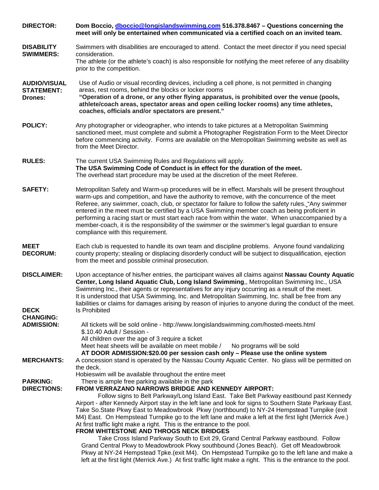| <b>DIRECTOR:</b>                                                           | Dom Boccio, dboccio@longislandswimming.com 516.378.8467 - Questions concerning the<br>meet will only be entertained when communicated via a certified coach on an invited team.                                                                                                                                                                                                                                                                                                                                                                                                                                                                                                                                                                                                                                                                                                                                                                                                                                                             |  |  |
|----------------------------------------------------------------------------|---------------------------------------------------------------------------------------------------------------------------------------------------------------------------------------------------------------------------------------------------------------------------------------------------------------------------------------------------------------------------------------------------------------------------------------------------------------------------------------------------------------------------------------------------------------------------------------------------------------------------------------------------------------------------------------------------------------------------------------------------------------------------------------------------------------------------------------------------------------------------------------------------------------------------------------------------------------------------------------------------------------------------------------------|--|--|
| <b>DISABILITY</b><br><b>SWIMMERS:</b>                                      | Swimmers with disabilities are encouraged to attend. Contact the meet director if you need special<br>consideration.<br>The athlete (or the athlete's coach) is also responsible for notifying the meet referee of any disability<br>prior to the competition.                                                                                                                                                                                                                                                                                                                                                                                                                                                                                                                                                                                                                                                                                                                                                                              |  |  |
| <b>AUDIO/VISUAL</b><br><b>STATEMENT:</b><br><b>Drones:</b>                 | Use of Audio or visual recording devices, including a cell phone, is not permitted in changing<br>areas, rest rooms, behind the blocks or locker rooms<br>"Operation of a drone, or any other flying apparatus, is prohibited over the venue (pools,<br>athlete/coach areas, spectator areas and open ceiling locker rooms) any time athletes,<br>coaches, officials and/or spectators are present."                                                                                                                                                                                                                                                                                                                                                                                                                                                                                                                                                                                                                                        |  |  |
| <b>POLICY:</b>                                                             | Any photographer or videographer, who intends to take pictures at a Metropolitan Swimming<br>sanctioned meet, must complete and submit a Photographer Registration Form to the Meet Director<br>before commencing activity. Forms are available on the Metropolitan Swimming website as well as<br>from the Meet Director.                                                                                                                                                                                                                                                                                                                                                                                                                                                                                                                                                                                                                                                                                                                  |  |  |
| <b>RULES:</b>                                                              | The current USA Swimming Rules and Regulations will apply.<br>The USA Swimming Code of Conduct is in effect for the duration of the meet.<br>The overhead start procedure may be used at the discretion of the meet Referee.                                                                                                                                                                                                                                                                                                                                                                                                                                                                                                                                                                                                                                                                                                                                                                                                                |  |  |
| <b>SAFETY:</b>                                                             | Metropolitan Safety and Warm-up procedures will be in effect. Marshals will be present throughout<br>warm-ups and competition, and have the authority to remove, with the concurrence of the meet<br>Referee, any swimmer, coach, club, or spectator for failure to follow the safety rules. "Any swimmer<br>entered in the meet must be certified by a USA Swimming member coach as being proficient in<br>performing a racing start or must start each race from within the water. When unaccompanied by a<br>member-coach, it is the responsibility of the swimmer or the swimmer's legal guardian to ensure<br>compliance with this requirement.                                                                                                                                                                                                                                                                                                                                                                                        |  |  |
| <b>MEET</b><br><b>DECORUM:</b>                                             | Each club is requested to handle its own team and discipline problems. Anyone found vandalizing<br>county property; stealing or displacing disorderly conduct will be subject to disqualification, ejection<br>from the meet and possible criminal prosecution.                                                                                                                                                                                                                                                                                                                                                                                                                                                                                                                                                                                                                                                                                                                                                                             |  |  |
| <b>DISCLAIMER:</b><br><b>DECK</b><br><b>CHANGING:</b><br><b>ADMISSION:</b> | Upon acceptance of his/her entries, the participant waives all claims against Nassau County Aquatic<br>Center, Long Island Aquatic Club, Long Island Swimming,, Metropolitan Swimming Inc., USA<br>Swimming Inc., their agents or representatives for any injury occurring as a result of the meet.<br>It is understood that USA Swimming, Inc. and Metropolitan Swimming, Inc. shall be free from any<br>liabilities or claims for damages arising by reason of injuries to anyone during the conduct of the meet.<br><b>Is Prohibited</b><br>All tickets will be sold online - http://www.longislandswimming.com/hosted-meets.html                                                                                                                                                                                                                                                                                                                                                                                                        |  |  |
|                                                                            | \$.10.40 Adult / Session -<br>All children over the age of 3 require a ticket<br>Meet heat sheets will be available on meet mobile /<br>No programs will be sold<br>AT DOOR ADMISSION:\$20.00 per session cash only - Please use the online system                                                                                                                                                                                                                                                                                                                                                                                                                                                                                                                                                                                                                                                                                                                                                                                          |  |  |
| <b>MERCHANTS:</b>                                                          | A concession stand is operated by the Nassau County Aquatic Center. No glass will be permitted on<br>the deck.<br>Hobieswim will be available throughout the entire meet                                                                                                                                                                                                                                                                                                                                                                                                                                                                                                                                                                                                                                                                                                                                                                                                                                                                    |  |  |
| <b>PARKING:</b><br><b>DIRECTIONS:</b>                                      | There is ample free parking available in the park<br>FROM VERRAZANO NARROWS BRIDGE AND KENNEDY AIRPORT:<br>Follow signs to Belt Parkway/Long Island East. Take Belt Parkway eastbound past Kennedy<br>Airport - after Kennedy Airport stay in the left lane and look for signs to Southern State Parkway East.<br>Take So. State Pkwy East to Meadowbrook Pkwy (northbound) to NY-24 Hempstead Turnpike (exit<br>M4) East. On Hempstead Turnpike go to the left lane and make a left at the first light (Merrick Ave.)<br>At first traffic light make a right. This is the entrance to the pool.<br>FROM WHITESTONE AND THROGS NECK BRIDGES<br>Take Cross Island Parkway South to Exit 29, Grand Central Parkway eastbound. Follow<br>Grand Central Pkwy to Meadowbrook Pkwy southbound (Jones Beach). Get off Meadowbrook<br>Pkwy at NY-24 Hempstead Tpke.(exit M4). On Hempstead Turnpike go to the left lane and make a<br>left at the first light (Merrick Ave.) At first traffic light make a right. This is the entrance to the pool. |  |  |